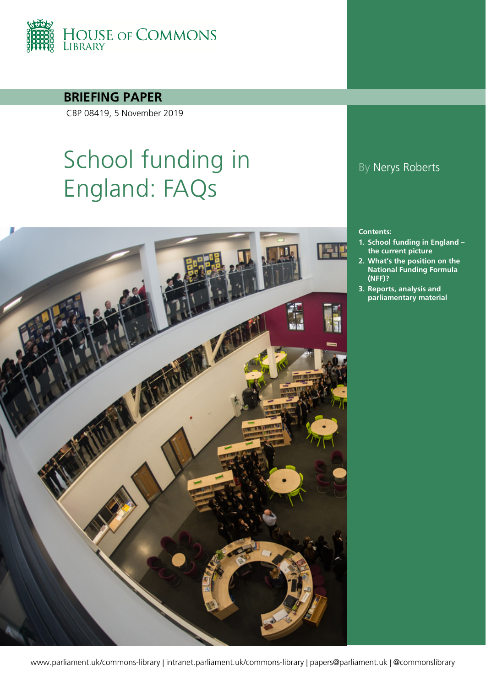

**BRIEFING PAPER**

CBP 08419, 5 November 2019

# School funding in England: FAQs



## By Nerys Roberts

**Contents:**

- **1. [School funding in England –](#page-5-0) [the current picture](#page-5-0)**
- **2. [What's the position on the](#page-12-0)  [National Funding Formula](#page-12-0)  [\(NFF\)?](#page-12-0)**
- **3. [Reports, analysis and](#page-14-0)  [parliamentary material](#page-14-0)**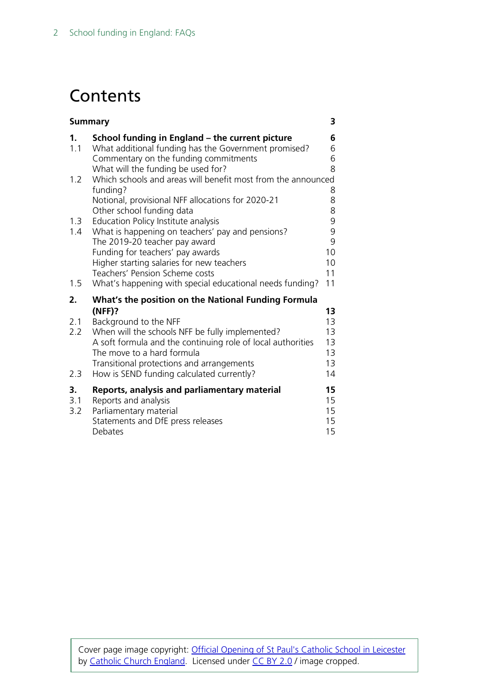## **Contents**

| <b>Summary</b><br>3 |                                                                                                                                                                                                                              |                                  |
|---------------------|------------------------------------------------------------------------------------------------------------------------------------------------------------------------------------------------------------------------------|----------------------------------|
| 1.<br>1.1           | School funding in England - the current picture<br>What additional funding has the Government promised?                                                                                                                      | 6<br>6                           |
|                     | Commentary on the funding commitments<br>What will the funding be used for?                                                                                                                                                  | 6<br>8                           |
| 1.2                 | Which schools and areas will benefit most from the announced<br>funding?                                                                                                                                                     | 8                                |
|                     | Notional, provisional NFF allocations for 2020-21                                                                                                                                                                            | 8                                |
| 1.3                 | Other school funding data<br>Education Policy Institute analysis                                                                                                                                                             | 8<br>9                           |
| 1.4                 | What is happening on teachers' pay and pensions?<br>The 2019-20 teacher pay award                                                                                                                                            | 9<br>9                           |
|                     | Funding for teachers' pay awards                                                                                                                                                                                             | 10                               |
|                     | Higher starting salaries for new teachers<br>Teachers' Pension Scheme costs                                                                                                                                                  | 10<br>11                         |
| 1.5                 | What's happening with special educational needs funding?                                                                                                                                                                     | 11                               |
| 2.                  | What's the position on the National Funding Formula                                                                                                                                                                          |                                  |
| 2.1<br>2.2          | (NFF)?<br>Background to the NFF<br>When will the schools NFF be fully implemented?<br>A soft formula and the continuing role of local authorities<br>The move to a hard formula<br>Transitional protections and arrangements | 13<br>13<br>13<br>13<br>13<br>13 |
| 2.3                 | How is SEND funding calculated currently?                                                                                                                                                                                    | 14                               |
| 3.<br>3.1<br>3.2    | Reports, analysis and parliamentary material<br>Reports and analysis<br>Parliamentary material<br>Statements and DfE press releases<br>Debates                                                                               | 15<br>15<br>15<br>15<br>15       |

Cover page image copyright: [Official Opening of St Paul's Catholic School in Leicester](https://www.flickr.com/photos/catholicism/16468633404/in/photolist-r6h3Xf-rKGV8L-s39HAw-rKFDJu-r6u43R-rKEfYG-nsTGgs-ad7xgp-9e4gXq-9uEcAJ-qrJGXJ-eepbm-6rcN13-5i9SLE-7Dkdgq-tQX4oR-mr81Y3-4kudXv-9H4VtM-gXHe1d-6Ya6wF-otXYGN-6HPwgi-7oBZwz-8eCKgN-sry38Y-6y4D85-rUtJdM-dZgc3Q-7ZMFCk-9u1Hrn-k7hLbk-87RBa8-dtZLj9-uyCEXn-a2NMC9-5RpyJF-e7gFa-4gEeri-9F5f4s-8RCnVm-pNdKo8-e5xi47-9VpaoU-9UGjcG-5qQmNL-89TAR6-dEuSpJ-quL4iA-fYs8c) by [Catholic Church England.](https://www.flickr.com/photos/catholicism/) Licensed under [CC BY 2.0](https://creativecommons.org/licenses/by-nc-sa/2.0/) / image cropped.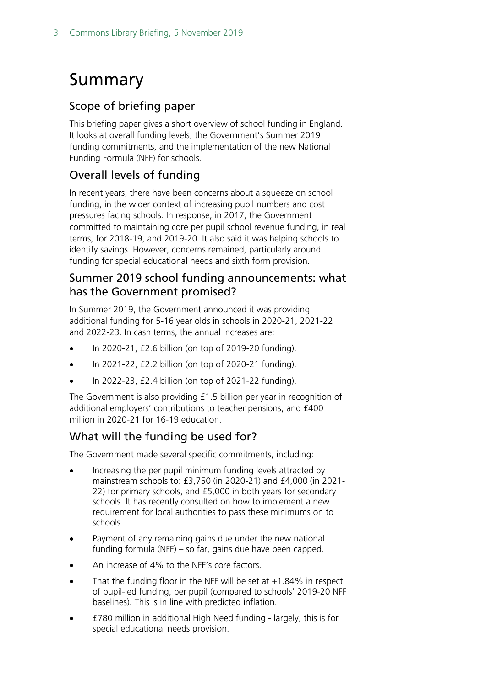## <span id="page-2-0"></span>Summary

## Scope of briefing paper

This briefing paper gives a short overview of school funding in England. It looks at overall funding levels, the Government's Summer 2019 funding commitments, and the implementation of the new National Funding Formula (NFF) for schools.

## Overall levels of funding

In recent years, there have been concerns about a squeeze on school funding, in the wider context of increasing pupil numbers and cost pressures facing schools. In response, in 2017, the Government committed to maintaining core per pupil school revenue funding, in real terms, for 2018-19, and 2019-20. It also said it was helping schools to identify savings. However, concerns remained, particularly around funding for special educational needs and sixth form provision.

#### Summer 2019 school funding announcements: what has the Government promised?

In Summer 2019, the Government announced it was providing additional funding for 5-16 year olds in schools in 2020-21, 2021-22 and 2022-23. In cash terms, the annual increases are:

- In 2020-21, £2.6 billion (on top of 2019-20 funding).
- In 2021-22, £2.2 billion (on top of 2020-21 funding).
- In 2022-23, £2.4 billion (on top of 2021-22 funding).

The Government is also providing £1.5 billion per year in recognition of additional employers' contributions to teacher pensions, and £400 million in 2020-21 for 16-19 education.

#### What will the funding be used for?

The Government made several specific commitments, including:

- Increasing the per pupil minimum funding levels attracted by mainstream schools to: £3,750 (in 2020-21) and £4,000 (in 2021- 22) for primary schools, and £5,000 in both years for secondary schools. It has recently consulted on how to implement a new requirement for local authorities to pass these minimums on to schools.
- Payment of any remaining gains due under the new national funding formula (NFF) – so far, gains due have been capped.
- An increase of 4% to the NFF's core factors.
- That the funding floor in the NFF will be set at  $+1.84\%$  in respect of pupil-led funding, per pupil (compared to schools' 2019-20 NFF baselines). This is in line with predicted inflation.
- £780 million in additional High Need funding largely, this is for special educational needs provision.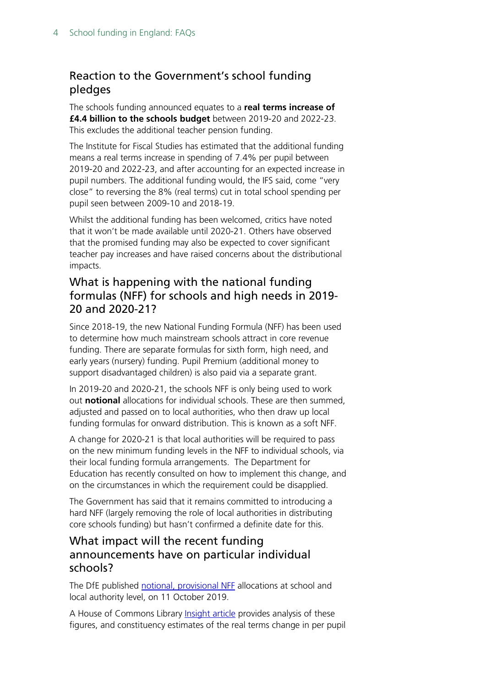## Reaction to the Government's school funding pledges

The schools funding announced equates to a **real terms increase of £4.4 billion to the schools budget** between 2019-20 and 2022-23. This excludes the additional teacher pension funding.

The Institute for Fiscal Studies has estimated that the additional funding means a real terms increase in spending of 7.4% per pupil between 2019-20 and 2022-23, and after accounting for an expected increase in pupil numbers. The additional funding would, the IFS said, come "very close" to reversing the 8% (real terms) cut in total school spending per pupil seen between 2009-10 and 2018-19.

Whilst the additional funding has been welcomed, critics have noted that it won't be made available until 2020-21. Others have observed that the promised funding may also be expected to cover significant teacher pay increases and have raised concerns about the distributional impacts.

#### What is happening with the national funding formulas (NFF) for schools and high needs in 2019- 20 and 2020-21?

Since 2018-19, the new National Funding Formula (NFF) has been used to determine how much mainstream schools attract in core revenue funding. There are separate formulas for sixth form, high need, and early years (nursery) funding. Pupil Premium (additional money to support disadvantaged children) is also paid via a separate grant.

In 2019-20 and 2020-21, the schools NFF is only being used to work out **notional** allocations for individual schools. These are then summed, adjusted and passed on to local authorities, who then draw up local funding formulas for onward distribution. This is known as a soft NFF.

A change for 2020-21 is that local authorities will be required to pass on the new minimum funding levels in the NFF to individual schools, via their local funding formula arrangements. The Department for Education has recently consulted on how to implement this change, and on the circumstances in which the requirement could be disapplied.

The Government has said that it remains committed to introducing a hard NFF (largely removing the role of local authorities in distributing core schools funding) but hasn't confirmed a definite date for this.

#### What impact will the recent funding announcements have on particular individual schools?

The DfE published [notional, provisional NFF](https://www.gov.uk/government/publications/national-funding-formula-tables-for-schools-and-high-needs-2020-to-2021) allocations at school and local authority level, on 11 October 2019.

A House of Commons Library [Insight article](https://commonslibrary.parliament.uk/social-policy/education/provisional-school-funding-2020-21-constituency-and-school-level-data/) provides analysis of these figures, and constituency estimates of the real terms change in per pupil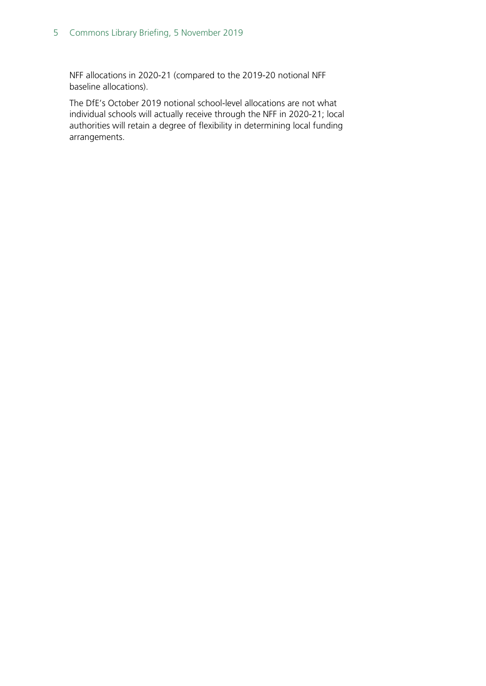#### 5 Commons Library Briefing, 5 November 2019

NFF allocations in 2020-21 (compared to the 2019-20 notional NFF baseline allocations).

The DfE's October 2019 notional school-level allocations are not what individual schools will actually receive through the NFF in 2020-21; local authorities will retain a degree of flexibility in determining local funding arrangements.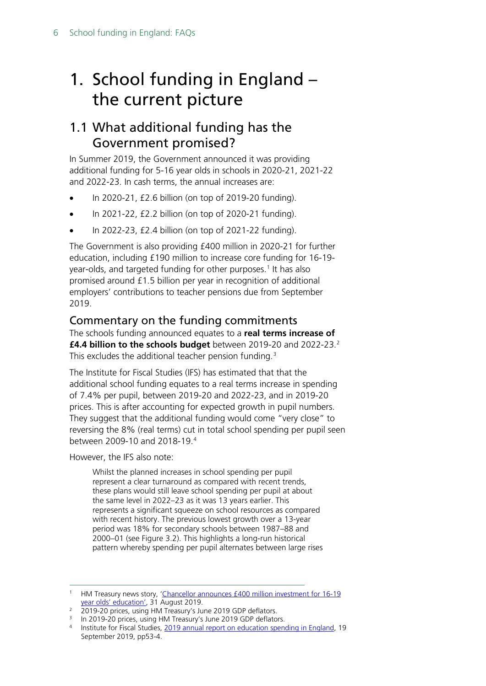## <span id="page-5-0"></span>1. School funding in England – the current picture

## <span id="page-5-1"></span>1.1 What additional funding has the Government promised?

In Summer 2019, the Government announced it was providing additional funding for 5-16 year olds in schools in 2020-21, 2021-22 and 2022-23. In cash terms, the annual increases are:

- In 2020-21, £2.6 billion (on top of 2019-20 funding).
- In 2021-22, £2.2 billion (on top of 2020-21 funding).
- In 2022-23, £2.4 billion (on top of 2021-22 funding).

The Government is also providing £400 million in 2020-21 for further education, including £190 million to increase core funding for 16-19- year-olds, and targeted funding for other purposes.<sup>[1](#page-5-3)</sup> It has also promised around £1.5 billion per year in recognition of additional employers' contributions to teacher pensions due from September 2019.

#### <span id="page-5-2"></span>Commentary on the funding commitments

The schools funding announced equates to a **real terms increase of £4.4 billion to the schools budget** between 2019-20 and 2022-23.[2](#page-5-4) This excludes the additional teacher pension funding. [3](#page-5-5)

The Institute for Fiscal Studies (IFS) has estimated that that the additional school funding equates to a real terms increase in spending of 7.4% per pupil, between 2019-20 and 2022-23, and in 2019-20 prices. This is after accounting for expected growth in pupil numbers. They suggest that the additional funding would come "very close" to reversing the 8% (real terms) cut in total school spending per pupil seen between 2009-10 and 2018-19.[4](#page-5-6)

However, the IFS also note:

Whilst the planned increases in school spending per pupil represent a clear turnaround as compared with recent trends, these plans would still leave school spending per pupil at about the same level in 2022–23 as it was 13 years earlier. This represents a significant squeeze on school resources as compared with recent history. The previous lowest growth over a 13-year period was 18% for secondary schools between 1987–88 and 2000–01 (see Figure 3.2). This highlights a long-run historical pattern whereby spending per pupil alternates between large rises

<span id="page-5-3"></span><sup>&</sup>lt;sup>1</sup> HM Treasury news story, ['Chancellor announces £400 million investment for 16-19](https://www.gov.uk/government/news/chancellor-announces-400-million-investment-for-16-19-year-olds-education) year olds' education', 31 August 2019.

<span id="page-5-4"></span>

<span id="page-5-6"></span><span id="page-5-5"></span>

<sup>&</sup>lt;sup>2</sup> 2019-20 prices, using HM Treasury's June 2019 GDP deflators.<br><sup>3</sup> In 2019-20 prices, using HM Treasury's June 2019 GDP deflators.<br><sup>4</sup> Institute for Fiscal Studies, <u>2019 annual report on education spending in England</u>, September 2019, pp53-4.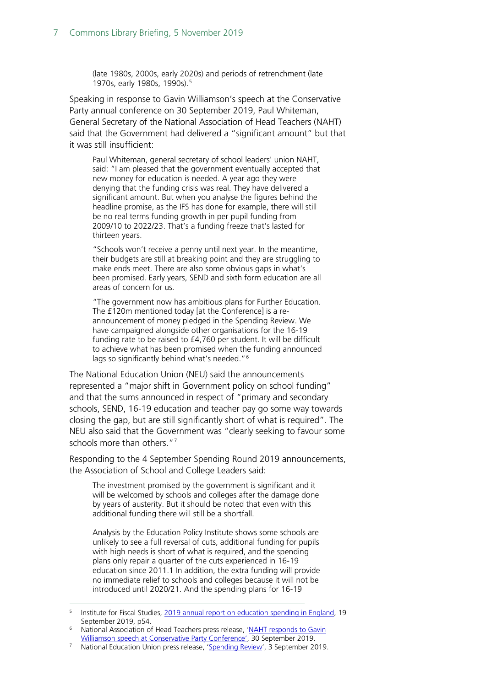(late 1980s, 2000s, early 2020s) and periods of retrenchment (late 1970s, early 1980s, 1990s).[5](#page-6-0)

Speaking in response to Gavin Williamson's speech at the Conservative Party annual conference on 30 September 2019, Paul Whiteman, General Secretary of the National Association of Head Teachers (NAHT) said that the Government had delivered a "significant amount" but that it was still insufficient:

Paul Whiteman, general secretary of school leaders' union NAHT, said: "I am pleased that the government eventually accepted that new money for education is needed. A year ago they were denying that the funding crisis was real. They have delivered a significant amount. But when you analyse the figures behind the headline promise, as the IFS has done for example, there will still be no real terms funding growth in per pupil funding from 2009/10 to 2022/23. That's a funding freeze that's lasted for thirteen years.

"Schools won't receive a penny until next year. In the meantime, their budgets are still at breaking point and they are struggling to make ends meet. There are also some obvious gaps in what's been promised. Early years, SEND and sixth form education are all areas of concern for us.

"The government now has ambitious plans for Further Education. The £120m mentioned today [at the Conference] is a reannouncement of money pledged in the Spending Review. We have campaigned alongside other organisations for the 16-19 funding rate to be raised to £4,760 per student. It will be difficult to achieve what has been promised when the funding announced lags so significantly behind what's needed."<sup>[6](#page-6-1)</sup>

The National Education Union (NEU) said the announcements represented a "major shift in Government policy on school funding" and that the sums announced in respect of "primary and secondary schools, SEND, 16-19 education and teacher pay go some way towards closing the gap, but are still significantly short of what is required". The NEU also said that the Government was "clearly seeking to favour some schools more than others."<sup>[7](#page-6-2)</sup>

Responding to the 4 September Spending Round 2019 announcements, the Association of School and College Leaders said:

The investment promised by the government is significant and it will be welcomed by schools and colleges after the damage done by years of austerity. But it should be noted that even with this additional funding there will still be a shortfall.

Analysis by the Education Policy Institute shows some schools are unlikely to see a full reversal of cuts, additional funding for pupils with high needs is short of what is required, and the spending plans only repair a quarter of the cuts experienced in 16-19 education since 2011[.1](https://www.ascl.org.uk/News/Our-news-and-press-releases/ASCL-comment-on-spending-round-the-job-is-not-done#fn1) In addition, the extra funding will provide no immediate relief to schools and colleges because it will not be introduced until 2020/21. And the spending plans for 16-19

<span id="page-6-0"></span>Institute for Fiscal Studies, [2019 annual report on education spending in England,](https://www.ifs.org.uk/publications/14369) 19 September 2019, p54.

<span id="page-6-1"></span><sup>6</sup> National Association of Head Teachers press release, ['NAHT responds to Gavin](https://www.naht.org.uk/news-and-opinion/press-room/naht-responds-to-gavin-williamson-speech-at-conservative-party-conference/)  [Williamson speech at Conservative Party Conference',](https://www.naht.org.uk/news-and-opinion/press-room/naht-responds-to-gavin-williamson-speech-at-conservative-party-conference/) 30 September 2019.

<span id="page-6-2"></span><sup>7</sup> National Education Union press release, ['Spending Review',](https://neu.org.uk/press-releases/spending-review) 3 September 2019.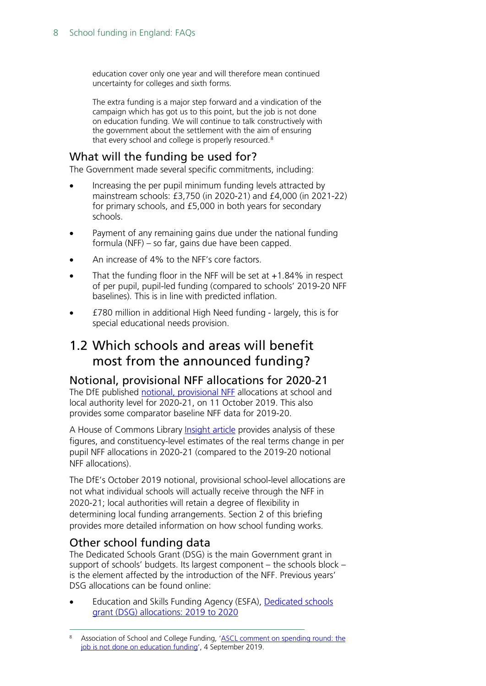education cover only one year and will therefore mean continued uncertainty for colleges and sixth forms.

The extra funding is a major step forward and a vindication of the campaign which has got us to this point, but the job is not done on education funding. We will continue to talk constructively with the government about the settlement with the aim of ensuring that every school and college is properly resourced.<sup>[8](#page-7-4)</sup>

#### <span id="page-7-0"></span>What will the funding be used for?

The Government made several specific commitments, including:

- Increasing the per pupil minimum funding levels attracted by mainstream schools: £3,750 (in 2020-21) and £4,000 (in 2021-22) for primary schools, and £5,000 in both years for secondary schools.
- Payment of any remaining gains due under the national funding formula (NFF) – so far, gains due have been capped.
- An increase of 4% to the NFF's core factors.
- That the funding floor in the NFF will be set at  $+1.84\%$  in respect of per pupil, pupil-led funding (compared to schools' 2019-20 NFF baselines). This is in line with predicted inflation.
- £780 million in additional High Need funding largely, this is for special educational needs provision.

## <span id="page-7-1"></span>1.2 Which schools and areas will benefit most from the announced funding?

#### <span id="page-7-2"></span>Notional, provisional NFF allocations for 2020-21

The DfE published [notional, provisional NFF](https://www.gov.uk/government/publications/national-funding-formula-tables-for-schools-and-high-needs-2020-to-2021) allocations at school and local authority level for 2020-21, on 11 October 2019. This also provides some comparator baseline NFF data for 2019-20.

A House of Commons Library **Insight article** provides analysis of these figures, and constituency-level estimates of the real terms change in per pupil NFF allocations in 2020-21 (compared to the 2019-20 notional NFF allocations).

The DfE's October 2019 notional, provisional school-level allocations are not what individual schools will actually receive through the NFF in 2020-21; local authorities will retain a degree of flexibility in determining local funding arrangements. Section 2 of this briefing provides more detailed information on how school funding works.

#### <span id="page-7-3"></span>Other school funding data

The Dedicated Schools Grant (DSG) is the main Government grant in support of schools' budgets. Its largest component – the schools block – is the element affected by the introduction of the NFF. Previous years' DSG allocations can be found online:

• Education and Skills Funding Agency (ESFA), [Dedicated schools](https://www.gov.uk/government/publications/dedicated-schools-grant-dsg-2019-to-2020)  [grant \(DSG\) allocations: 2019 to 2020](https://www.gov.uk/government/publications/dedicated-schools-grant-dsg-2019-to-2020)

<span id="page-7-4"></span>Association of School and College Funding, 'ASCL comment on spending round: the [job is not done on education funding',](https://www.ascl.org.uk/News/Our-news-and-press-releases/ASCL-comment-on-spending-round-the-job-is-not-done) 4 September 2019.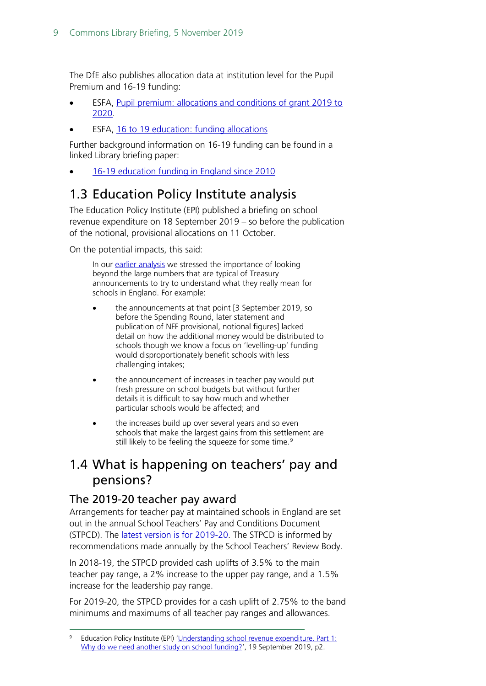The DfE also publishes allocation data at institution level for the Pupil Premium and 16-19 funding:

- ESFA, [Pupil premium: allocations and conditions of grant 2019 to](https://www.gov.uk/government/publications/pupil-premium-allocations-and-conditions-of-grant-2019-to-2020)  [2020.](https://www.gov.uk/government/publications/pupil-premium-allocations-and-conditions-of-grant-2019-to-2020)
- ESFA, [16 to 19 education: funding allocations](https://www.gov.uk/guidance/16-to-19-education-funding-allocations#to-19-revenue-funding-information-for-academic-year-2020-to-2021)

Further background information on 16-19 funding can be found in a linked Library briefing paper:

• [16-19 education funding in England since 2010](https://researchbriefings.parliament.uk/ResearchBriefing/Summary/SN07019)

## <span id="page-8-0"></span>1.3 Education Policy Institute analysis

The Education Policy Institute (EPI) published a briefing on school revenue expenditure on 18 September 2019 – so before the publication of the notional, provisional allocations on 11 October.

On the potential impacts, this said:

In our [earlier analysis](https://epi.org.uk/publications-and-research/spending-round-preview/) we stressed the importance of looking beyond the large numbers that are typical of Treasury announcements to try to understand what they really mean for schools in England. For example:

- the announcements at that point [3 September 2019, so before the Spending Round, later statement and publication of NFF provisional, notional figures] lacked detail on how the additional money would be distributed to schools though we know a focus on 'levelling-up' funding would disproportionately benefit schools with less challenging intakes;
- the announcement of increases in teacher pay would put fresh pressure on school budgets but without further details it is difficult to say how much and whether particular schools would be affected; and
- the increases build up over several years and so even schools that make the largest gains from this settlement are still likely to be feeling the squeeze for some time.<sup>[9](#page-8-3)</sup>

## <span id="page-8-1"></span>1.4 What is happening on teachers' pay and pensions?

#### <span id="page-8-2"></span>The 2019-20 teacher pay award

Arrangements for teacher pay at maintained schools in England are set out in the annual School Teachers' Pay and Conditions Document (STPCD). The [latest version is for 2019-20.](https://www.gov.uk/government/publications/school-teachers-pay-and-conditions) The STPCD is informed by recommendations made annually by the School Teachers' Review Body.

In 2018-19, the STPCD provided cash uplifts of 3.5% to the main teacher pay range, a 2% increase to the upper pay range, and a 1.5% increase for the leadership pay range.

For 2019-20, the STPCD provides for a cash uplift of 2.75% to the band minimums and maximums of all teacher pay ranges and allowances.

<span id="page-8-3"></span>Education Policy Institute (EPI) 'Understanding school revenue expenditure. Part 1: [Why do we need another study on school funding?'](https://epi.org.uk/wp-content/uploads/2019/09/EPI-School_Expenditure_1.pdf), 19 September 2019, p2.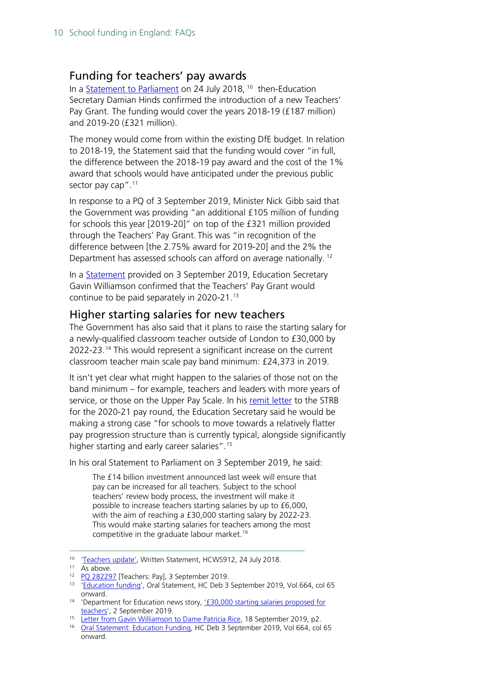#### <span id="page-9-0"></span>Funding for teachers' pay awards

In a [Statement to Parliament](https://www.parliament.uk/business/publications/written-questions-answers-statements/written-statement/Commons/2018-07-24/HCWS912/) on 24 July 2018, <sup>[10](#page-9-2)</sup> then-Education Secretary Damian Hinds confirmed the introduction of a new Teachers' Pay Grant. The funding would cover the years 2018-19 (£187 million) and 2019-20 (£321 million).

The money would come from within the existing DfE budget. In relation to 2018-19, the Statement said that the funding would cover "in full, the difference between the 2018-19 pay award and the cost of the 1% award that schools would have anticipated under the previous public sector pay cap".<sup>[11](#page-9-3)</sup>

In response to a PQ of 3 September 2019, Minister Nick Gibb said that the Government was providing "an additional £105 million of funding for schools this year [2019-20]" on top of the £321 million provided through the Teachers' Pay Grant. This was "in recognition of the difference between [the 2.75% award for 2019-20] and the 2% the Department has assessed schools can afford on average nationally.<sup>[12](#page-9-4)</sup>

In a [Statement](https://hansard.parliament.uk/commons/2019-09-03/debates/8A1DC868-C15C-46AF-94EE-7F2363E6D0BC/EducationFunding) provided on 3 September 2019, Education Secretary Gavin Williamson confirmed that the Teachers' Pay Grant would continue to be paid separately in 2020-21. [13](#page-9-5)

#### <span id="page-9-1"></span>Higher starting salaries for new teachers

The Government has also said that it plans to raise the starting salary for a newly-qualified classroom teacher outside of London to £30,000 by 2022-23.[14](#page-9-6) This would represent a significant increase on the current classroom teacher main scale pay band minimum: £24,373 in 2019.

It isn't yet clear what might happen to the salaries of those not on the band minimum – for example, teachers and leaders with more years of service, or those on the Upper Pay Scale. In his [remit letter](https://www.gov.uk/government/publications/school-teachers-review-body-strb-remit-letter-for-2020) to the STRB for the 2020-21 pay round, the Education Secretary said he would be making a strong case "for schools to move towards a relatively flatter pay progression structure than is currently typical, alongside significantly higher starting and early career salaries".<sup>[15](#page-9-7)</sup>

In his oral Statement to Parliament on 3 September 2019, he said:

The £14 billion investment announced last week will ensure that pay can be increased for all teachers. Subject to the school teachers' review body process, the investment will make it possible to increase teachers starting salaries by up to £6,000, with the aim of reaching a £30,000 starting salary by 2022-23. This would make starting salaries for teachers among the most competitive in the graduate labour market.[16](#page-9-8)

<span id="page-9-5"></span><span id="page-9-4"></span>

<span id="page-9-3"></span><span id="page-9-2"></span><sup>&</sup>lt;sup>10</sup> ['Teachers update',](https://www.parliament.uk/business/publications/written-questions-answers-statements/written-statement/Commons/2018-07-24/HCWS912/) Written Statement, HCWS912, 24 July 2018.<br><sup>11</sup> As above.<br><sup>12</sup> PQ 282297 [Teachers: Pay], 3 September 2019.<br><sup>13</sup> ['Education funding',](https://hansard.parliament.uk/commons/2019-09-03/debates/8A1DC868-C15C-46AF-94EE-7F2363E6D0BC/EducationFunding) Oral Statement, HC Deb 3 September 2019, Vol.664, col 65 onward.

<span id="page-9-6"></span><sup>14</sup> 'Department for Education news story, ['£30,000 starting salaries proposed for](https://www.gov.uk/government/news/30000-starting-salaries-proposed-for-teachers)  [teachers'](https://www.gov.uk/government/news/30000-starting-salaries-proposed-for-teachers), 2 September 2019.<br><sup>15</sup> Letter from Gavin Williamson to Dame Patricia Rice, 18 September 2019, p2.

<span id="page-9-7"></span>

<span id="page-9-8"></span><sup>&</sup>lt;sup>16</sup> [Oral Statement: Education Funding,](https://hansard.parliament.uk/Commons/2019-09-03/debates/8A1DC868-C15C-46AF-94EE-7F2363E6D0BC/EducationFunding#contribution-76A6D7A3-DD80-401E-9669-03B7FED8B5FE) HC Deb 3 September 2019, Vol 664, col 65 onward.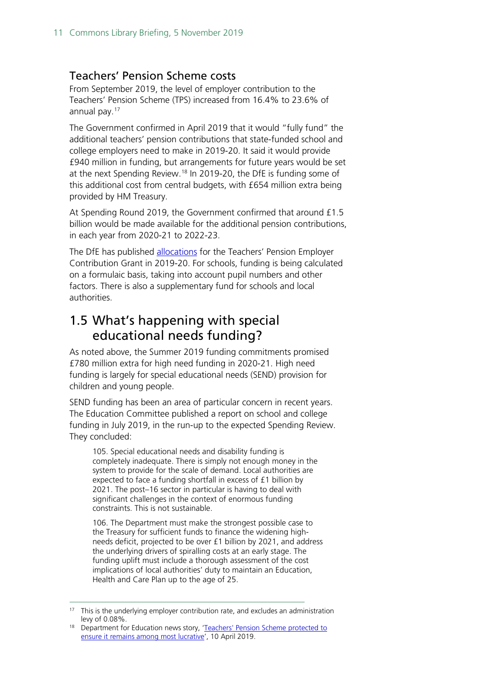#### <span id="page-10-0"></span>Teachers' Pension Scheme costs

From September 2019, the level of employer contribution to the Teachers' Pension Scheme (TPS) increased from 16.4% to 23.6% of annual pay.[17](#page-10-2)

The Government confirmed in April 2019 that it would "fully fund" the additional teachers' pension contributions that state-funded school and college employers need to make in 2019-20. It said it would provide £940 million in funding, but arrangements for future years would be set at the next Spending Review.<sup>18</sup> In 2019-20, the DfE is funding some of this additional cost from central budgets, with £654 million extra being provided by HM Treasury.

At Spending Round 2019, the Government confirmed that around £1.5 billion would be made available for the additional pension contributions, in each year from 2020-21 to 2022-23.

The DfE has published [allocations](https://www.gov.uk/government/publications/teachers-pay-grant-allocations-for-2019-to-2020-financial-year) for the Teachers' Pension Employer Contribution Grant in 2019-20. For schools, funding is being calculated on a formulaic basis, taking into account pupil numbers and other factors. There is also a supplementary fund for schools and local authorities.

## <span id="page-10-1"></span>1.5 What's happening with special educational needs funding?

As noted above, the Summer 2019 funding commitments promised £780 million extra for high need funding in 2020-21. High need funding is largely for special educational needs (SEND) provision for children and young people.

SEND funding has been an area of particular concern in recent years. The Education Committee published a report on school and college funding in July 2019, in the run-up to the expected Spending Review. They concluded:

105. Special educational needs and disability funding is completely inadequate. There is simply not enough money in the system to provide for the scale of demand. Local authorities are expected to face a funding shortfall in excess of £1 billion by 2021. The post–16 sector in particular is having to deal with significant challenges in the context of enormous funding constraints. This is not sustainable.

106. The Department must make the strongest possible case to the Treasury for sufficient funds to finance the widening highneeds deficit, projected to be over £1 billion by 2021, and address the underlying drivers of spiralling costs at an early stage. The funding uplift must include a thorough assessment of the cost implications of local authorities' duty to maintain an Education, Health and Care Plan up to the age of 25.

<span id="page-10-2"></span> $17$  This is the underlying employer contribution rate, and excludes an administration levy of 0.08%.<br><sup>18</sup> Department for Education news story, '<u>Teachers' Pension Scheme protected to</u>

<span id="page-10-3"></span>[ensure it remains among most lucrative'](https://www.gov.uk/government/news/teachers-pension-scheme-protected-to-ensure-it-remains-among-most-lucrative?utm_source=48af9fcf-2b9f-47db-8d5b-43f86366f6f8&utm_medium=email&utm_campaign=govuk-notifications&utm_content=immediate), 10 April 2019.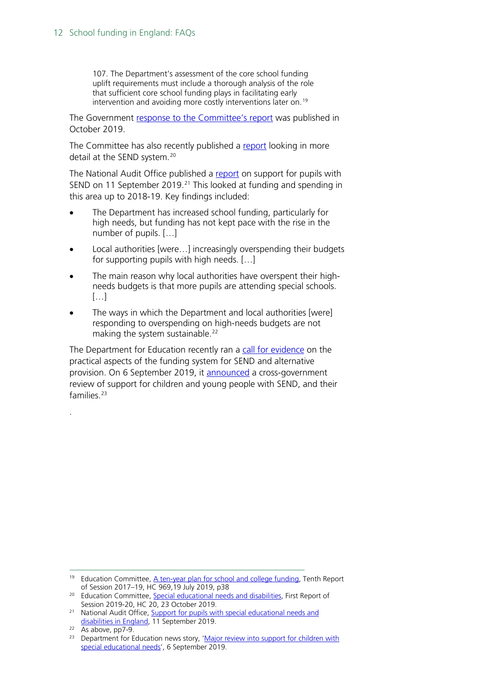107. The Department's assessment of the core school funding uplift requirements must include a thorough analysis of the role that sufficient core school funding plays in facilitating early intervention and avoiding more costly interventions later on.[19](#page-11-0)

The Government [response to the Committee's report](https://www.parliament.uk/documents/commons-committees/Education/Correspondence/19-20/Government-Response-to-committee-tenth-report-of-Session-2017%E2%80%9319-a-ten-year-plan-for-school-and-college-funding-CP-190.pdf) was published in October 2019.

The Committee has also recently published a [report](https://publications.parliament.uk/pa/cm201920/cmselect/cmeduc/20/20.pdf) looking in more detail at the SEND system.<sup>[20](#page-11-1)</sup>

The National Audit Office published a [report](https://www.nao.org.uk/report/support-for-pupils-with-special-educational-needs-and-disabilities/) on support for pupils with SEND on 11 September 2019.<sup>[21](#page-11-2)</sup> This looked at funding and spending in this area up to 2018-19. Key findings included:

- The Department has increased school funding, particularly for high needs, but funding has not kept pace with the rise in the number of pupils. […]
- Local authorities [were...] increasingly overspending their budgets for supporting pupils with high needs. […]
- The main reason why local authorities have overspent their highneeds budgets is that more pupils are attending special schools. […]
- The ways in which the Department and local authorities [were] responding to overspending on high-needs budgets are not making the system sustainable.<sup>[22](#page-11-3)</sup>

The Department for Education recently ran a [call for evidence](https://www.gov.uk/government/consultations/send-and-ap-provision-call-for-evidence) on the practical aspects of the funding system for SEND and alternative provision. On 6 September 2019, it [announced](https://www.gov.uk/government/news/major-review-into-support-for-children-with-special-educational-needs) a cross-government review of support for children and young people with SEND, and their families.<sup>[23](#page-11-4)</sup>

<span id="page-11-2"></span><sup>21</sup> National Audit Office, [Support for pupils with special educational needs and](https://www.nao.org.uk/report/support-for-pupils-with-special-educational-needs-and-disabilities/) disabilities in England, 11 September 2019.

.

<span id="page-11-0"></span><sup>&</sup>lt;sup>19</sup> Education Committee,  $\overline{A}$  ten-year plan for school and college funding, Tenth Report of Session 2017–19, HC 969,19 July 2019, p38

<span id="page-11-1"></span><sup>&</sup>lt;sup>20</sup> Education Committee, [Special educational needs and disabilities,](https://publications.parliament.uk/pa/cm201920/cmselect/cmeduc/20/20.pdf) First Report of Session 2019-20, HC 20, 23 October 2019.

<span id="page-11-4"></span><span id="page-11-3"></span><sup>&</sup>lt;sup>22</sup> As above, pp7-9. 22 As above, pp7-9. 22 As above, pp7-9. 23 Department for children with [special educational needs'](https://www.gov.uk/government/news/major-review-into-support-for-children-with-special-educational-needs), 6 September 2019.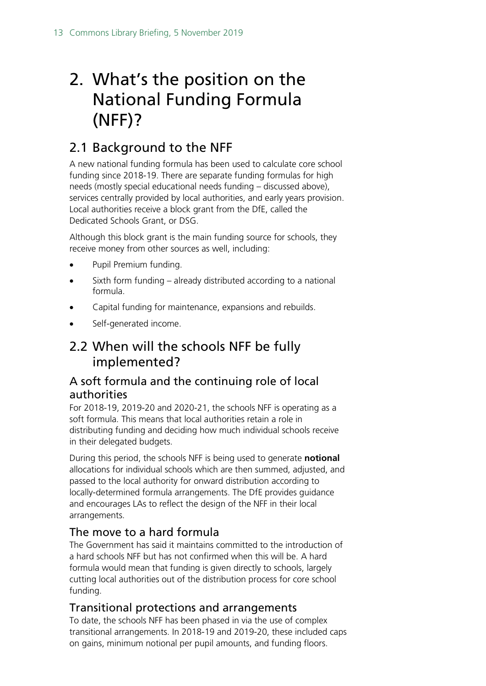## <span id="page-12-0"></span>2. What's the position on the National Funding Formula (NFF)?

## <span id="page-12-1"></span>2.1 Background to the NFF

A new national funding formula has been used to calculate core school funding since 2018-19. There are separate funding formulas for high needs (mostly special educational needs funding – discussed above), services centrally provided by local authorities, and early years provision. Local authorities receive a block grant from the DfE, called the Dedicated Schools Grant, or DSG.

Although this block grant is the main funding source for schools, they receive money from other sources as well, including:

- Pupil Premium funding.
- Sixth form funding already distributed according to a national formula.
- Capital funding for maintenance, expansions and rebuilds.
- Self-generated income.

## <span id="page-12-2"></span>2.2 When will the schools NFF be fully implemented?

## <span id="page-12-3"></span>A soft formula and the continuing role of local authorities

For 2018-19, 2019-20 and 2020-21, the schools NFF is operating as a soft formula. This means that local authorities retain a role in distributing funding and deciding how much individual schools receive in their delegated budgets.

During this period, the schools NFF is being used to generate **notional** allocations for individual schools which are then summed, adjusted, and passed to the local authority for onward distribution according to locally-determined formula arrangements. The DfE provides guidance and encourages LAs to reflect the design of the NFF in their local arrangements.

## <span id="page-12-4"></span>The move to a hard formula

The Government has said it maintains committed to the introduction of a hard schools NFF but has not confirmed when this will be. A hard formula would mean that funding is given directly to schools, largely cutting local authorities out of the distribution process for core school funding.

## <span id="page-12-5"></span>Transitional protections and arrangements

To date, the schools NFF has been phased in via the use of complex transitional arrangements. In 2018-19 and 2019-20, these included caps on gains, minimum notional per pupil amounts, and funding floors.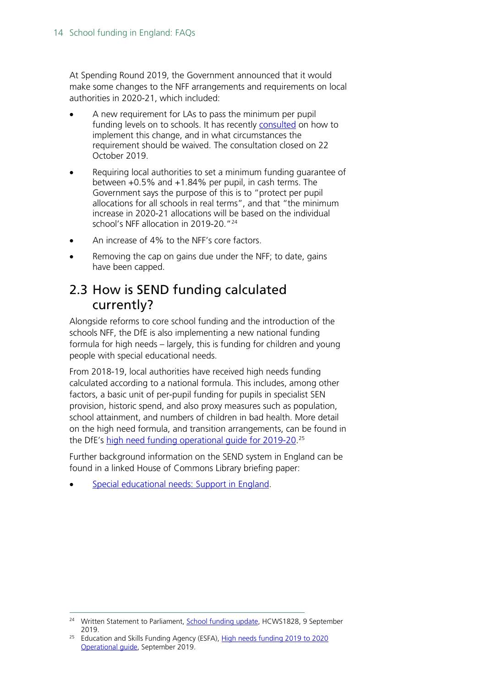At Spending Round 2019, the Government announced that it would make some changes to the NFF arrangements and requirements on local authorities in 2020-21, which included:

- A new requirement for LAs to pass the minimum per pupil funding levels on to schools. It has recently [consulted](https://consult.education.gov.uk/funding-policy-unit/mandatory-minimum-per-pupil-funding-levels-in-5-16/supporting_documents/Consultation%20%20mandatory%20minimum%20per%20pupil%20levels%20002.pdf) on how to implement this change, and in what circumstances the requirement should be waived. The consultation closed on 22 October 2019.
- Requiring local authorities to set a minimum funding guarantee of between +0.5% and +1.84% per pupil, in cash terms. The Government says the purpose of this is to "protect per pupil allocations for all schools in real terms", and that "the minimum increase in 2020-21 allocations will be based on the individual school's NFF allocation in 2019-20."<sup>[24](#page-13-1)</sup>
- An increase of 4% to the NFF's core factors.
- Removing the cap on gains due under the NFF; to date, gains have been capped.

## <span id="page-13-0"></span>2.3 How is SEND funding calculated currently?

Alongside reforms to core school funding and the introduction of the schools NFF, the DfE is also implementing a new national funding formula for high needs – largely, this is funding for children and young people with special educational needs.

From 2018-19, local authorities have received high needs funding calculated according to a national formula. This includes, among other factors, a basic unit of per-pupil funding for pupils in specialist SEN provision, historic spend, and also proxy measures such as population, school attainment, and numbers of children in bad health. More detail on the high need formula, and transition arrangements, can be found in the DfE's [high need funding operational guide for 2019-20.](https://assets.publishing.service.gov.uk/government/uploads/system/uploads/attachment_data/file/811096/High_needs_funding_operational__guide_2019_to_2020.pdf)<sup>[25](#page-13-2)</sup>

Further background information on the SEND system in England can be found in a linked House of Commons Library briefing paper:

[Special educational needs: Support in England.](https://researchbriefings.parliament.uk/ResearchBriefing/Summary/SN07020)

<span id="page-13-1"></span><sup>&</sup>lt;sup>24</sup> Written Statement to Parliament, **School funding update**, HCWS1828, 9 September 2019.

<span id="page-13-2"></span><sup>&</sup>lt;sup>25</sup> Education and Skills Funding Agency (ESFA), High needs funding 2019 to 2020 [Operational guide,](https://www.gov.uk/government/publications/high-needs-funding-arrangements-2019-to-2020) September 2019.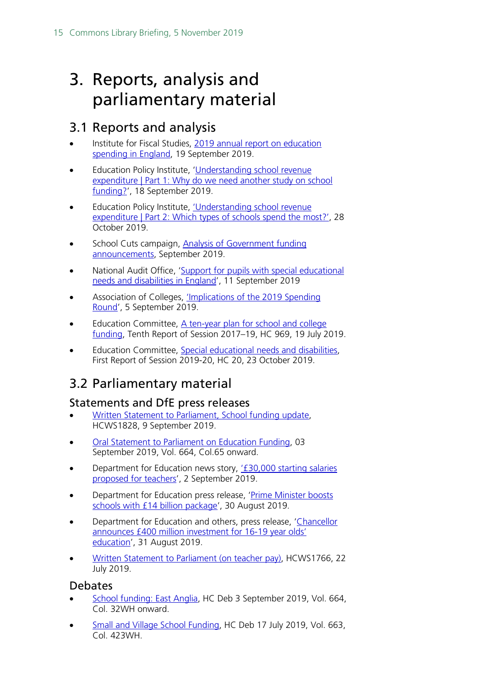## <span id="page-14-0"></span>3. Reports, analysis and parliamentary material

## <span id="page-14-1"></span>3.1 Reports and analysis

- Institute for Fiscal Studies, 2019 annual report on education [spending in England,](https://www.ifs.org.uk/publications/14369) 19 September 2019.
- Education Policy Institute, 'Understanding school revenue [expenditure | Part 1: Why do we need another study on school](https://epi.org.uk/publications-and-research/understanding-school-revenue-expenditure-part-1/)  [funding?'](https://epi.org.uk/publications-and-research/understanding-school-revenue-expenditure-part-1/), 18 September 2019.
- Education Policy Institute, 'Understanding school revenue [expenditure | Part 2: Which types of schools spend the most?',](https://epi.org.uk/publications-and-research/understanding-school-revenue-expenditure-part-2/) 28 October 2019.
- School Cuts campaign, **Analysis of Government funding** [announcements,](https://neu.org.uk/press-releases/school-funding-4-5-schools-worse-under-government-spending-plans-finds-new-analysis) September 2019.
- National Audit Office, 'Support for pupils with special educational [needs and disabilities in England'](https://www.nao.org.uk/report/support-for-pupils-with-special-educational-needs-and-disabilities/), 11 September 2019
- Association of Colleges, 'Implications of the 2019 Spending [Round'](https://www.aoc.co.uk/news/implications-the-2020-1-spending-round-5-september-2019), 5 September 2019.
- Education Committe[e, A ten-year plan for](https://publications.parliament.uk/pa/cm201719/cmselect/cmeduc/969/969.pdf) school and college [funding,](https://publications.parliament.uk/pa/cm201719/cmselect/cmeduc/969/969.pdf) Tenth Report of Session 2017–19, HC 969, 19 July 2019.
- Education Committee, [Special educational needs and disabilities,](https://www.parliament.uk/business/committees/committees-a-z/commons-select/education-committee/inquiries/parliament-2017/special-educational-needs-and-disability-inquiry-17-19/) First Report of Session 2019-20, HC 20, 23 October 2019.

## <span id="page-14-2"></span>3.2 Parliamentary material

#### <span id="page-14-3"></span>Statements and DfE press releases

- [Written Statement to Parliament, School](https://www.parliament.uk/written-questions-answers-statements/written-statement/Commons/2019-09-09/HCWS1828) funding update, HCWS1828, 9 September 2019.
- Oral [Statement to Parliament on Education Funding,](https://hansard.parliament.uk/Commons/2019-09-03/debates/8A1DC868-C15C-46AF-94EE-7F2363E6D0BC/EducationFunding) 03 September 2019, Vol. 664, Col.65 onward.
- Department for Education news story, ['£30,000 starting salaries](https://www.gov.uk/government/news/30000-starting-salaries-proposed-for-teachers)  [proposed for teachers'](https://www.gov.uk/government/news/30000-starting-salaries-proposed-for-teachers), 2 September 2019.
- Department for Education press release, ['Prime Minister boosts](https://www.gov.uk/government/news/prime-minister-boosts-schools-with-14-billion-package)  [schools with £14 billion package'](https://www.gov.uk/government/news/prime-minister-boosts-schools-with-14-billion-package), 30 August 2019.
- Department for Education and others, press release, ['Chancellor](https://www.gov.uk/government/news/chancellor-announces-400-million-investment-for-16-19-year-olds-education)  [announces £400 million investment for 16-19 year olds'](https://www.gov.uk/government/news/chancellor-announces-400-million-investment-for-16-19-year-olds-education)  [education'](https://www.gov.uk/government/news/chancellor-announces-400-million-investment-for-16-19-year-olds-education), 31 August 2019.
- [Written Statement to Parliament \(on teacher pay\),](https://www.parliament.uk/written-questions-answers-statements/written-statement/Commons/2019-07-22/HCWS1766) HCWS1766, 22 July 2019.

#### <span id="page-14-4"></span>Debates

- [School funding: East Anglia,](https://hansard.parliament.uk/Commons/2019-09-03/debates/A8CE5BC7-B52C-4126-9C6F-41353B64F0B2/SchoolFundingEastAnglia) HC Deb 3 September 2019, Vol. 664, Col. 32WH onward.
- [Small and Village School Funding,](https://hansard.parliament.uk/Commons/2019-07-17/debates/BEFBB005-8AC8-4F49-8D00-CA3EC6430D48/SmallAndVillageSchoolFunding) HC Deb 17 July 2019, Vol. 663, Col. 423WH.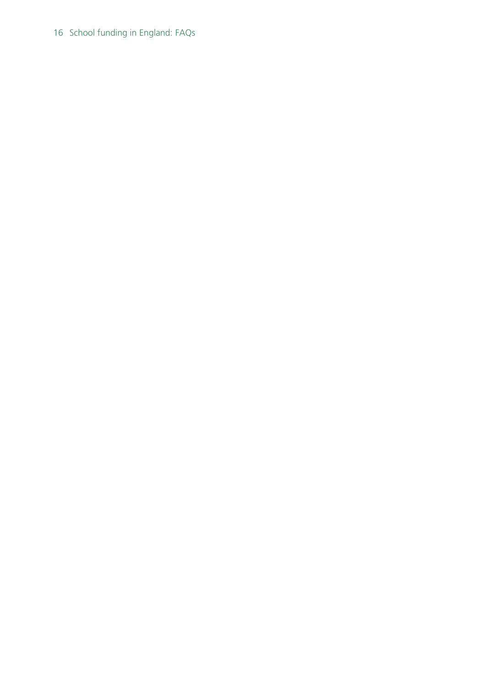## School funding in England: FAQs